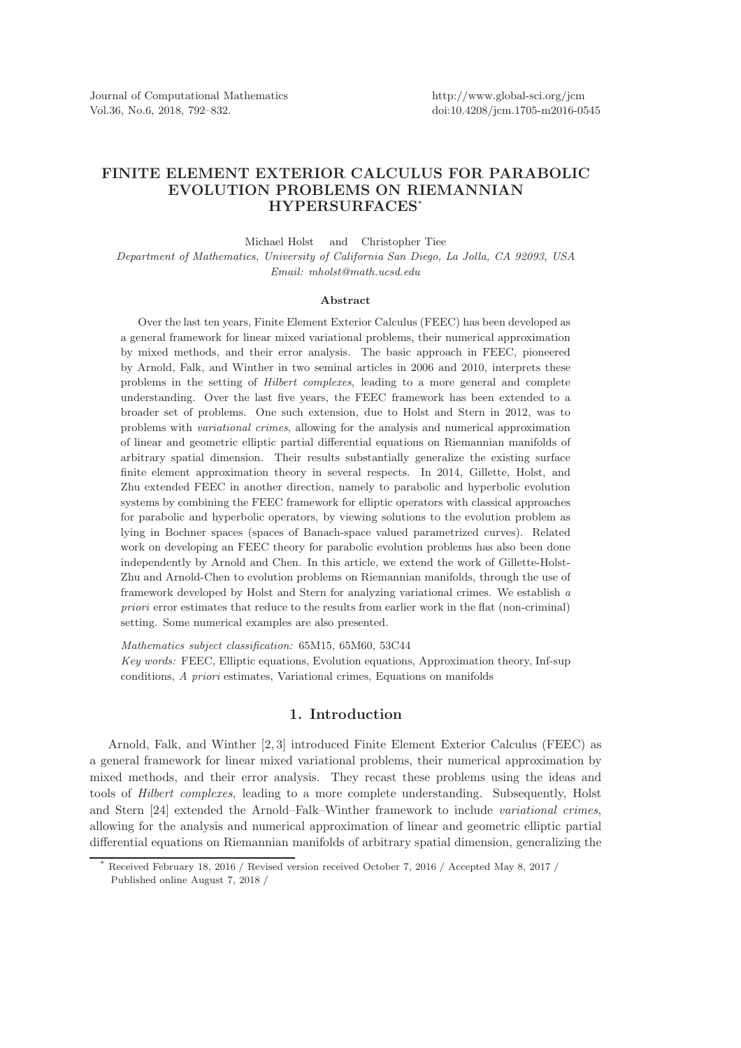## FINITE ELEMENT EXTERIOR CALCULUS FOR PARABOLIC EVOLUTION PROBLEMS ON RIEMANNIAN HYPERSURFACES\*

Michael Holst and Christopher Tiee Department of Mathematics, University of California San Diego, La Jolla, CA 92093, USA Email: mholst@math.ucsd.edu

## Abstract

Over the last ten years, Finite Element Exterior Calculus (FEEC) has been developed as a general framework for linear mixed variational problems, their numerical approximation by mixed methods, and their error analysis. The basic approach in FEEC, pioneered by Arnold, Falk, and Winther in two seminal articles in 2006 and 2010, interprets these problems in the setting of Hilbert complexes, leading to a more general and complete understanding. Over the last five years, the FEEC framework has been extended to a broader set of problems. One such extension, due to Holst and Stern in 2012, was to problems with variational crimes, allowing for the analysis and numerical approximation of linear and geometric elliptic partial differential equations on Riemannian manifolds of arbitrary spatial dimension. Their results substantially generalize the existing surface finite element approximation theory in several respects. In 2014, Gillette, Holst, and Zhu extended FEEC in another direction, namely to parabolic and hyperbolic evolution systems by combining the FEEC framework for elliptic operators with classical approaches for parabolic and hyperbolic operators, by viewing solutions to the evolution problem as lying in Bochner spaces (spaces of Banach-space valued parametrized curves). Related work on developing an FEEC theory for parabolic evolution problems has also been done independently by Arnold and Chen. In this article, we extend the work of Gillette-Holst-Zhu and Arnold-Chen to evolution problems on Riemannian manifolds, through the use of framework developed by Holst and Stern for analyzing variational crimes. We establish a priori error estimates that reduce to the results from earlier work in the flat (non-criminal) setting. Some numerical examples are also presented.

Mathematics subject classification: 65M15, 65M60, 53C44 Key words: FEEC, Elliptic equations, Evolution equations, Approximation theory, Inf-sup conditions, A priori estimates, Variational crimes, Equations on manifolds

## 1. Introduction

Arnold, Falk, and Winther [2, 3] introduced Finite Element Exterior Calculus (FEEC) as a general framework for linear mixed variational problems, their numerical approximation by mixed methods, and their error analysis. They recast these problems using the ideas and tools of *Hilbert complexes*, leading to a more complete understanding. Subsequently, Holst and Stern [24] extended the Arnold–Falk–Winther framework to include variational crimes, allowing for the analysis and numerical approximation of linear and geometric elliptic partial differential equations on Riemannian manifolds of arbitrary spatial dimension, generalizing the

Received February 18, 2016 / Revised version received October 7, 2016 / Accepted May 8, 2017 / Published online August 7, 2018 /